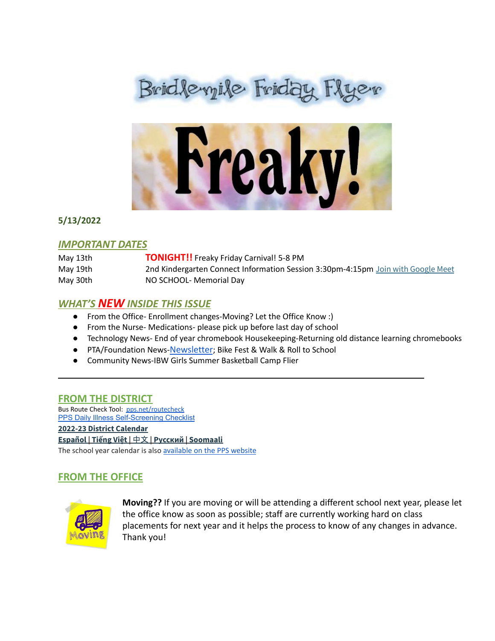



**5/13/2022**

#### *IMPORTANT DATES*

| May 13th | <b>TONIGHT!!</b> Freaky Friday Carnival! 5-8 PM                                  |
|----------|----------------------------------------------------------------------------------|
| May 19th | 2nd Kindergarten Connect Information Session 3:30pm-4:15pm Join with Google Meet |
| May 30th | NO SCHOOL- Memorial Day                                                          |

## *WHAT'S NEW INSIDE THIS ISSUE*

- From the Office- Enrollment changes-Moving? Let the Office Know :)
- From the Nurse- Medications- please pick up before last day of school
- Technology News- End of year chromebook Housekeeping-Returning old distance learning chromebooks

 $\overline{\phantom{a}}$  , and the contribution of the contribution of the contribution of the contribution of  $\overline{\phantom{a}}$ 

- PTA/Foundation News-[Newsletter](https://docs.google.com/document/u/1/d/e/2PACX-1vQlZCPHtKxqO7qpJwiwgoeaZ1ERHVLgg6z0JNYJMTulwn7xlOVY_X2I1ZV9nntsGHP57LEZ_uSufaFj/pub); Bike Fest & Walk & Roll to School
- Community News-IBW Girls Summer Basketball Camp Flier

#### **FROM THE DISTRICT**

Bus Route Check Tool: [pps.net/routecheck](https://www.pps.net/routecheck) **[PPS Daily Illness Self-Screening Checklist](https://www.pps.net/Page/18693) 2022-23 District [Calendar](https://www.pps.net/cms/lib/OR01913224/Centricity/Domain/4/PPS-Calendar-2022-23.pdf) [Español](https://www.pps.net/cms/lib/OR01913224/Centricity/Domain/4/PPS_Calendar-2022-23_Spanish.pdf) | [Tiếng](https://www.pps.net/cms/lib/OR01913224/Centricity/Domain/4/PPS_Calendar_2022-23-Vietnamese.pdf) Việt |** [中文](https://www.pps.net/cms/lib/OR01913224/Centricity/Domain/4/PPS_Calendar-2022-23_Chinese.pdf) **| [Русский](https://www.pps.net/cms/lib/OR01913224/Centricity/Domain/4/PPS_Calendar-2022-23_Russian.pdf) | [Soomaali](https://www.pps.net/cms/lib/OR01913224/Centricity/Domain/4/PPS_Calendar-2022-23_Somali.pdf)** The school year calendar is also [available](https://www.pps.net/Page/2#calendar1/20220420/month) on the PPS website

## **FROM THE OFFICE**



**Moving??** If you are moving or will be attending a different school next year, please let the office know as soon as possible; staff are currently working hard on class placements for next year and it helps the process to know of any changes in advance. Thank you!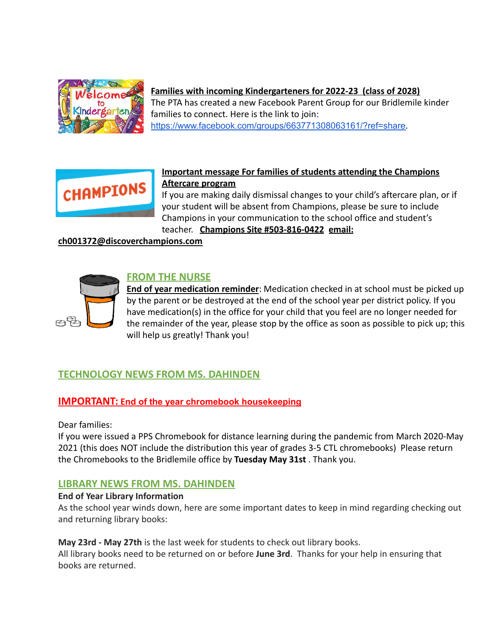

### **Families with incoming Kindergarteners for 2022-23 (class of 2028)**

The PTA has created a new Facebook Parent Group for our Bridlemile kinder families to connect. Here is the link to join: <https://www.facebook.com/groups/663771308063161/?ref=share>.



### **Important message For families of students attending the Champions Aftercare program**

If you are making daily dismissal changes to your child's aftercare plan, or if your student will be absent from Champions, please be sure to include Champions in your communication to the school office and student's teacher. **Champions Site #503-816-0422 email:**

#### **ch001372@discoverchampions.com**



**End of year medication reminder**: Medication checked in at school must be picked up by the parent or be destroyed at the end of the school year per district policy. If you have medication(s) in the office for your child that you feel are no longer needed for the remainder of the year, please stop by the office as soon as possible to pick up; this will help us greatly! Thank you!

## **TECHNOLOGY NEWS FROM MS. DAHINDEN**

#### **IMPORTANT: End of the year chromebook housekeeping**

Dear families:

pq

If you were issued a PPS Chromebook for distance learning during the pandemic from March 2020-May 2021 (this does NOT include the distribution this year of grades 3-5 CTL chromebooks) Please return the Chromebooks to the Bridlemile office by **Tuesday May 31st** . Thank you.

## **LIBRARY NEWS FROM MS. DAHINDEN**

#### **End of Year Library Information**

As the school year winds down, here are some important dates to keep in mind regarding checking out and returning library books:

#### **May 23rd - May 27th** is the last week for students to check out library books.

All library books need to be returned on or before **June 3rd**. Thanks for your help in ensuring that books are returned.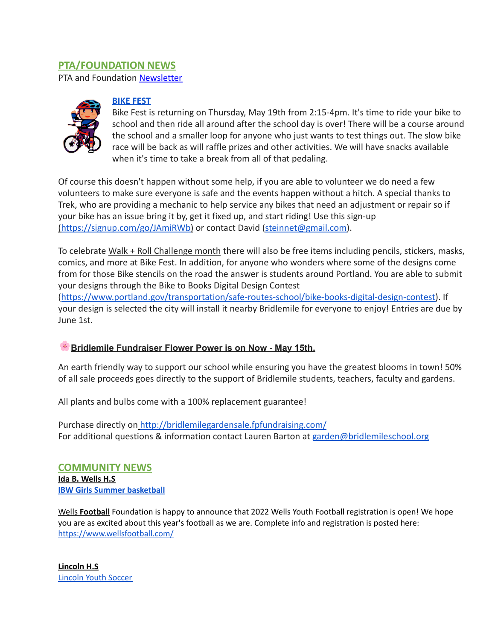# **PTA/FOUNDATION NEWS**

PTA and Foundation [Newsletter](https://docs.google.com/document/u/1/d/e/2PACX-1vQlZCPHtKxqO7qpJwiwgoeaZ1ERHVLgg6z0JNYJMTulwn7xlOVY_X2I1ZV9nntsGHP57LEZ_uSufaFj/pub)



#### **BIKE FEST**

Bike Fest is returning on Thursday, May 19th from 2:15-4pm. It's time to ride your bike to school and then ride all around after the school day is over! There will be a course around the school and a smaller loop for anyone who just wants to test things out. The slow bike race will be back as will raffle prizes and other activities. We will have snacks available when it's time to take a break from all of that pedaling.

Of course this doesn't happen without some help, if you are able to volunteer we do need a few volunteers to make sure everyone is safe and the events happen without a hitch. A special thanks to Trek, who are providing a mechanic to help service any bikes that need an adjustment or repair so if your bike has an issue bring it by, get it fixed up, and start riding! Use this sign-up ([https://signup.com/go/JAmiRWb\)](https://signup.com/go/JAmiRWb) or contact David (steinnet@gmail.com).

To celebrate Walk + Roll Challenge month there will also be free items including pencils, stickers, masks, comics, and more at Bike Fest. In addition, for anyone who wonders where some of the designs come from for those Bike stencils on the road the answer is students around Portland. You are able to submit your designs through the Bike to Books Digital Design Contest

([https://www.portland.gov/transportation/safe-routes-school/bike-books-digital-design-contest\)](https://www.portland.gov/transportation/safe-routes-school/bike-books-digital-design-contest). If your design is selected the city will install it nearby Bridlemile for everyone to enjoy! Entries are due by June 1st.

## **Bridlemile Fundraiser Flower Power is on Now - May 15th.**

An earth friendly way to support our school while ensuring you have the greatest blooms in town! 50% of all sale proceeds goes directly to the support of Bridlemile students, teachers, faculty and gardens.

All plants and bulbs come with a 100% replacement guarantee!

Purchase directly on <http://bridlemilegardensale.fpfundraising.com/> For additional questions & information contact Lauren Barton at garden@bridlemileschool.org

**COMMUNITY NEWS Ida B. Wells H.S IBW Girls Summer [basketball](https://docs.google.com/document/d/16NXltsLTfKLihE977w_zH3uxXAWFA5dg1XJK4Asdvcw/edit?usp=sharing)**

Wells **Football** Foundation is happy to announce that 2022 Wells Youth Football registration is open! We hope you are as excited about this year's football as we are. Complete info and registration is posted here: <https://www.wellsfootball.com/>

**Lincoln H.S** [Lincoln](https://lincolnyouthsoccer.org/) Youth Soccer